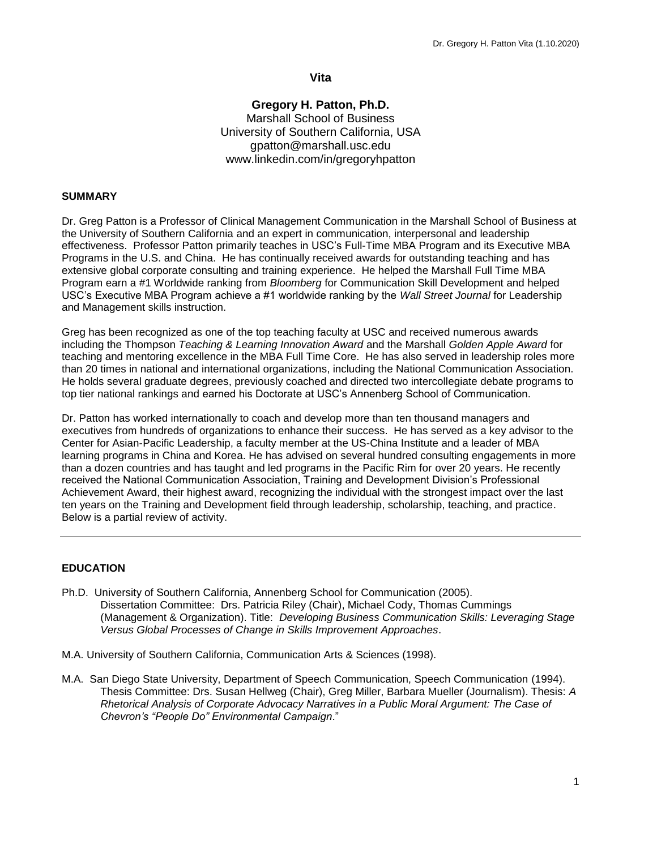# **Vita**

# **Gregory H. Patton, Ph.D.** Marshall School of Business University of Southern California, USA gpatton@marshall.usc.edu www.linkedin.com/in/gregoryhpatton

### **SUMMARY**

Dr. Greg Patton is a Professor of Clinical Management Communication in the Marshall School of Business at the University of Southern California and an expert in communication, interpersonal and leadership effectiveness. Professor Patton primarily teaches in USC's Full-Time MBA Program and its Executive MBA Programs in the U.S. and China. He has continually received awards for outstanding teaching and has extensive global corporate consulting and training experience. He helped the Marshall Full Time MBA Program earn a #1 Worldwide ranking from *Bloomberg* for Communication Skill Development and helped USC's Executive MBA Program achieve a #1 worldwide ranking by the *Wall Street Journal* for Leadership and Management skills instruction.

Greg has been recognized as one of the top teaching faculty at USC and received numerous awards including the Thompson *Teaching & Learning Innovation Award* and the Marshall *Golden Apple Award* for teaching and mentoring excellence in the MBA Full Time Core. He has also served in leadership roles more than 20 times in national and international organizations, including the National Communication Association. He holds several graduate degrees, previously coached and directed two intercollegiate debate programs to top tier national rankings and earned his Doctorate at USC's Annenberg School of Communication.

Dr. Patton has worked internationally to coach and develop more than ten thousand managers and executives from hundreds of organizations to enhance their success. He has served as a key advisor to the Center for Asian-Pacific Leadership, a faculty member at the US-China Institute and a leader of MBA learning programs in China and Korea. He has advised on several hundred consulting engagements in more than a dozen countries and has taught and led programs in the Pacific Rim for over 20 years. He recently received the National Communication Association, Training and Development Division's Professional Achievement Award, their highest award, recognizing the individual with the strongest impact over the last ten years on the Training and Development field through leadership, scholarship, teaching, and practice. Below is a partial review of activity.

### **EDUCATION**

- Ph.D. University of Southern California, Annenberg School for Communication (2005). Dissertation Committee: Drs. Patricia Riley (Chair), Michael Cody, Thomas Cummings (Management & Organization). Title: *Developing Business Communication Skills: Leveraging Stage Versus Global Processes of Change in Skills Improvement Approaches*.
- M.A. University of Southern California, Communication Arts & Sciences (1998).
- M.A. San Diego State University, Department of Speech Communication, Speech Communication (1994). Thesis Committee: Drs. Susan Hellweg (Chair), Greg Miller, Barbara Mueller (Journalism). Thesis: *A Rhetorical Analysis of Corporate Advocacy Narratives in a Public Moral Argument: The Case of Chevron's "People Do" Environmental Campaign*."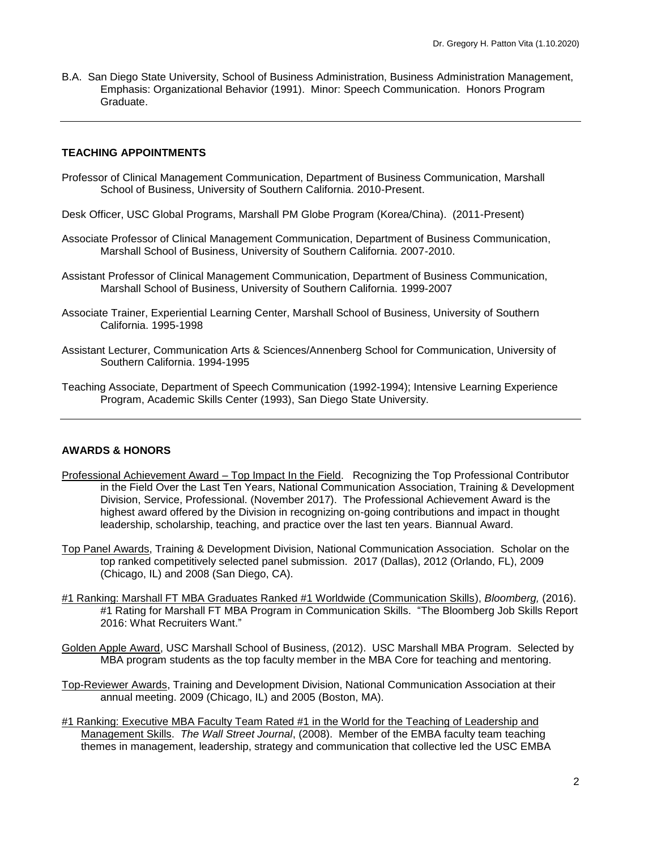B.A. San Diego State University, School of Business Administration, Business Administration Management, Emphasis: Organizational Behavior (1991). Minor: Speech Communication. Honors Program Graduate.

#### **TEACHING APPOINTMENTS**

- Professor of Clinical Management Communication, Department of Business Communication, Marshall School of Business, University of Southern California. 2010-Present.
- Desk Officer, USC Global Programs, Marshall PM Globe Program (Korea/China). (2011-Present)
- Associate Professor of Clinical Management Communication, Department of Business Communication, Marshall School of Business, University of Southern California. 2007-2010.
- Assistant Professor of Clinical Management Communication, Department of Business Communication, Marshall School of Business, University of Southern California. 1999-2007
- Associate Trainer, Experiential Learning Center, Marshall School of Business, University of Southern California. 1995-1998
- Assistant Lecturer, Communication Arts & Sciences/Annenberg School for Communication, University of Southern California. 1994-1995
- Teaching Associate, Department of Speech Communication (1992-1994); Intensive Learning Experience Program, Academic Skills Center (1993), San Diego State University.

#### **AWARDS & HONORS**

- Professional Achievement Award Top Impact In the Field. Recognizing the Top Professional Contributor in the Field Over the Last Ten Years, National Communication Association, Training & Development Division, Service, Professional. (November 2017). The Professional Achievement Award is the highest award offered by the Division in recognizing on-going contributions and impact in thought leadership, scholarship, teaching, and practice over the last ten years. Biannual Award.
- Top Panel Awards, Training & Development Division, National Communication Association. Scholar on the top ranked competitively selected panel submission. 2017 (Dallas), 2012 (Orlando, FL), 2009 (Chicago, IL) and 2008 (San Diego, CA).
- #1 Ranking: Marshall FT MBA Graduates Ranked #1 Worldwide (Communication Skills), *Bloomberg,* (2016). #1 Rating for Marshall FT MBA Program in Communication Skills. "The Bloomberg Job Skills Report 2016: What Recruiters Want."
- Golden Apple Award, USC Marshall School of Business, (2012). USC Marshall MBA Program. Selected by MBA program students as the top faculty member in the MBA Core for teaching and mentoring.
- Top-Reviewer Awards, Training and Development Division, National Communication Association at their annual meeting. 2009 (Chicago, IL) and 2005 (Boston, MA).
- #1 Ranking: Executive MBA Faculty Team Rated #1 in the World for the Teaching of Leadership and Management Skills. *The Wall Street Journal*, (2008). Member of the EMBA faculty team teaching themes in management, leadership, strategy and communication that collective led the USC EMBA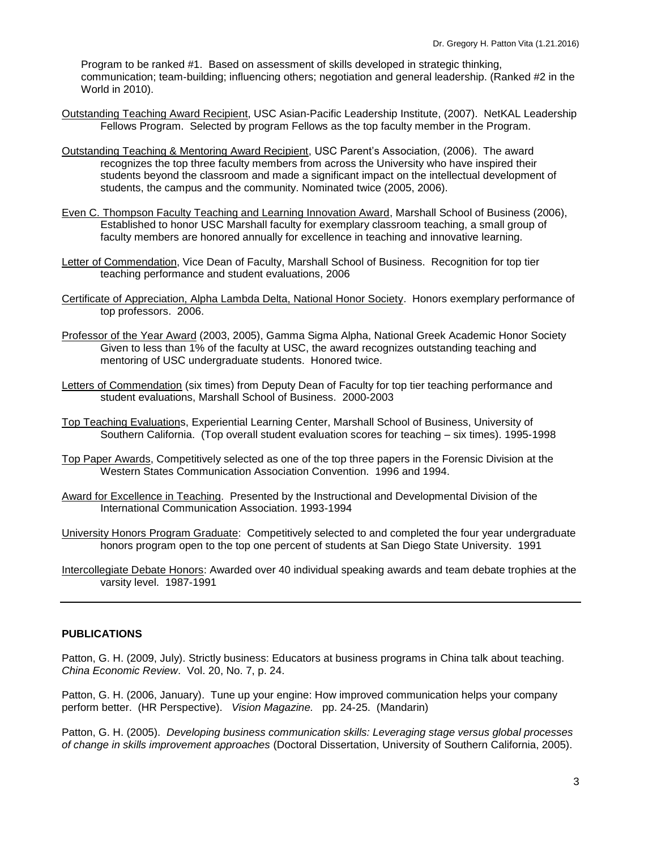Program to be ranked #1. Based on assessment of skills developed in strategic thinking, communication; team-building; influencing others; negotiation and general leadership. (Ranked #2 in the World in 2010).

- Outstanding Teaching Award Recipient, USC Asian-Pacific Leadership Institute, (2007). NetKAL Leadership Fellows Program. Selected by program Fellows as the top faculty member in the Program.
- Outstanding Teaching & Mentoring Award Recipient, USC Parent's Association, (2006). The award recognizes the top three faculty members from across the University who have inspired their students beyond the classroom and made a significant impact on the intellectual development of students, the campus and the community. Nominated twice (2005, 2006).
- Even C. Thompson Faculty Teaching and Learning Innovation Award, Marshall School of Business (2006), Established to honor USC Marshall faculty for exemplary classroom teaching, a small group of faculty members are honored annually for excellence in teaching and innovative learning.
- Letter of Commendation, Vice Dean of Faculty, Marshall School of Business. Recognition for top tier teaching performance and student evaluations, 2006
- Certificate of Appreciation, Alpha Lambda Delta, National Honor Society. Honors exemplary performance of top professors. 2006.
- Professor of the Year Award (2003, 2005), Gamma Sigma Alpha, National Greek Academic Honor Society Given to less than 1% of the faculty at USC, the award recognizes outstanding teaching and mentoring of USC undergraduate students. Honored twice.
- Letters of Commendation (six times) from Deputy Dean of Faculty for top tier teaching performance and student evaluations, Marshall School of Business. 2000-2003
- Top Teaching Evaluations, Experiential Learning Center, Marshall School of Business, University of Southern California. (Top overall student evaluation scores for teaching – six times). 1995-1998
- Top Paper Awards, Competitively selected as one of the top three papers in the Forensic Division at the Western States Communication Association Convention. 1996 and 1994.
- Award for Excellence in Teaching. Presented by the Instructional and Developmental Division of the International Communication Association. 1993-1994
- University Honors Program Graduate: Competitively selected to and completed the four year undergraduate honors program open to the top one percent of students at San Diego State University. 1991
- Intercollegiate Debate Honors: Awarded over 40 individual speaking awards and team debate trophies at the varsity level. 1987-1991

### **PUBLICATIONS**

Patton, G. H. (2009, July). Strictly business: Educators at business programs in China talk about teaching. *China Economic Review*. Vol. 20, No. 7, p. 24.

Patton, G. H. (2006, January). Tune up your engine: How improved communication helps your company perform better. (HR Perspective). *Vision Magazine.* pp. 24-25. (Mandarin)

Patton, G. H. (2005). *Developing business communication skills: Leveraging stage versus global processes of change in skills improvement approaches* (Doctoral Dissertation, University of Southern California, 2005).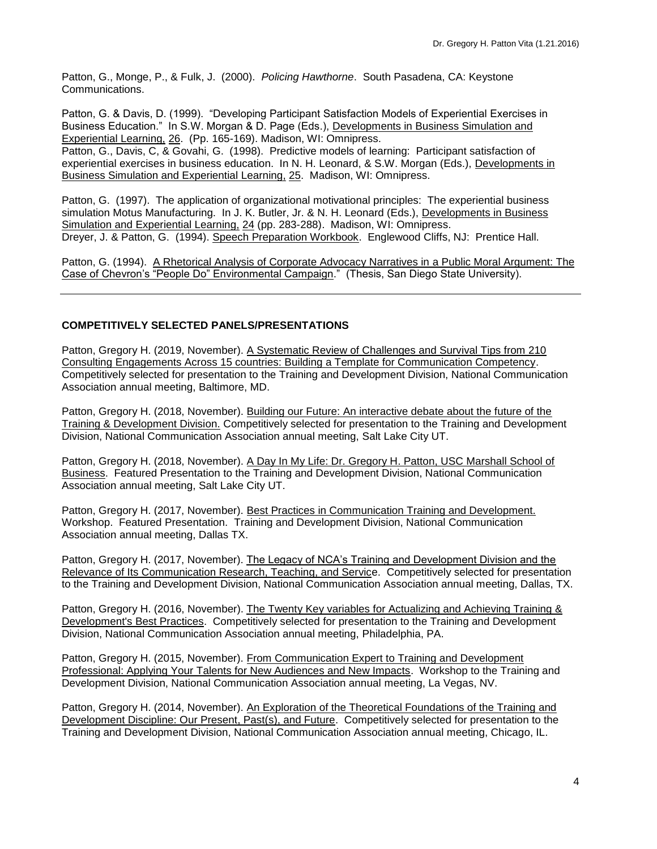Patton, G., Monge, P., & Fulk, J. (2000). *Policing Hawthorne*. South Pasadena, CA: Keystone Communications.

Patton, G. & Davis, D. (1999). "Developing Participant Satisfaction Models of Experiential Exercises in Business Education." In S.W. Morgan & D. Page (Eds.), Developments in Business Simulation and Experiential Learning, 26. (Pp. 165-169). Madison, WI: Omnipress. Patton, G., Davis, C, & Govahi, G. (1998). Predictive models of learning: Participant satisfaction of experiential exercises in business education. In N. H. Leonard, & S.W. Morgan (Eds.), Developments in Business Simulation and Experiential Learning, 25. Madison, WI: Omnipress.

Patton, G. (1997). The application of organizational motivational principles: The experiential business simulation Motus Manufacturing. In J. K. Butler, Jr. & N. H. Leonard (Eds.), Developments in Business Simulation and Experiential Learning, 24 (pp. 283-288). Madison, WI: Omnipress. Dreyer, J. & Patton, G. (1994). Speech Preparation Workbook. Englewood Cliffs, NJ: Prentice Hall.

Patton, G. (1994). A Rhetorical Analysis of Corporate Advocacy Narratives in a Public Moral Argument: The Case of Chevron's "People Do" Environmental Campaign." (Thesis, San Diego State University).

# **COMPETITIVELY SELECTED PANELS/PRESENTATIONS**

Patton, Gregory H. (2019, November). A Systematic Review of Challenges and Survival Tips from 210 Consulting Engagements Across 15 countries: Building a Template for Communication Competency. Competitively selected for presentation to the Training and Development Division, National Communication Association annual meeting, Baltimore, MD.

Patton, Gregory H. (2018, November). Building our Future: An interactive debate about the future of the Training & Development Division. Competitively selected for presentation to the Training and Development Division, National Communication Association annual meeting, Salt Lake City UT.

Patton, Gregory H. (2018, November). A Day In My Life: Dr. Gregory H. Patton, USC Marshall School of Business. Featured Presentation to the Training and Development Division, National Communication Association annual meeting, Salt Lake City UT.

Patton, Gregory H. (2017, November). Best Practices in Communication Training and Development. Workshop. Featured Presentation. Training and Development Division, National Communication Association annual meeting, Dallas TX.

Patton, Gregory H. (2017, November). The Legacy of NCA's Training and Development Division and the Relevance of Its Communication Research, Teaching, and Service. Competitively selected for presentation to the Training and Development Division, National Communication Association annual meeting, Dallas, TX.

Patton, Gregory H. (2016, November). The Twenty Key variables for Actualizing and Achieving Training & Development's Best Practices. Competitively selected for presentation to the Training and Development Division, National Communication Association annual meeting, Philadelphia, PA.

Patton, Gregory H. (2015, November). From Communication Expert to Training and Development Professional: Applying Your Talents for New Audiences and New Impacts. Workshop to the Training and Development Division, National Communication Association annual meeting, La Vegas, NV.

Patton, Gregory H. (2014, November). An Exploration of the Theoretical Foundations of the Training and Development Discipline: Our Present, Past(s), and Future. Competitively selected for presentation to the Training and Development Division, National Communication Association annual meeting, Chicago, IL.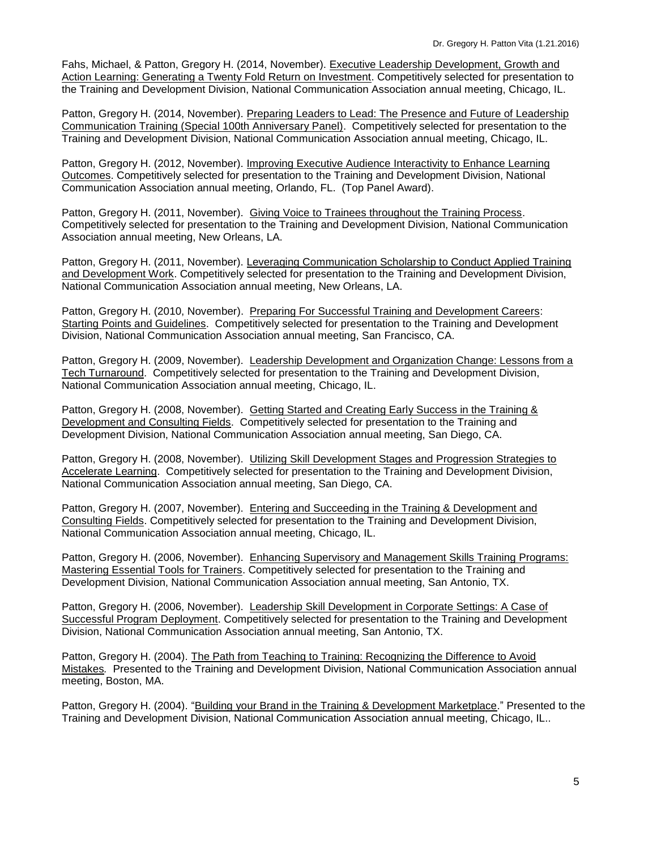Fahs, Michael, & Patton, Gregory H. (2014, November). Executive Leadership Development, Growth and Action Learning: Generating a Twenty Fold Return on Investment. Competitively selected for presentation to the Training and Development Division, National Communication Association annual meeting, Chicago, IL.

Patton, Gregory H. (2014, November). Preparing Leaders to Lead: The Presence and Future of Leadership Communication Training (Special 100th Anniversary Panel). Competitively selected for presentation to the Training and Development Division, National Communication Association annual meeting, Chicago, IL.

Patton, Gregory H. (2012, November). Improving Executive Audience Interactivity to Enhance Learning Outcomes. Competitively selected for presentation to the Training and Development Division, National Communication Association annual meeting, Orlando, FL. (Top Panel Award).

Patton, Gregory H. (2011, November). Giving Voice to Trainees throughout the Training Process. Competitively selected for presentation to the Training and Development Division, National Communication Association annual meeting, New Orleans, LA.

Patton, Gregory H. (2011, November). Leveraging Communication Scholarship to Conduct Applied Training and Development Work. Competitively selected for presentation to the Training and Development Division, National Communication Association annual meeting, New Orleans, LA.

Patton, Gregory H. (2010, November). Preparing For Successful Training and Development Careers: Starting Points and Guidelines. Competitively selected for presentation to the Training and Development Division, National Communication Association annual meeting, San Francisco, CA.

Patton, Gregory H. (2009, November). Leadership Development and Organization Change: Lessons from a Tech Turnaround. Competitively selected for presentation to the Training and Development Division, National Communication Association annual meeting, Chicago, IL.

Patton, Gregory H. (2008, November). Getting Started and Creating Early Success in the Training & Development and Consulting Fields. Competitively selected for presentation to the Training and Development Division, National Communication Association annual meeting, San Diego, CA.

Patton, Gregory H. (2008, November). Utilizing Skill Development Stages and Progression Strategies to Accelerate Learning. Competitively selected for presentation to the Training and Development Division, National Communication Association annual meeting, San Diego, CA.

Patton, Gregory H. (2007, November). Entering and Succeeding in the Training & Development and Consulting Fields. Competitively selected for presentation to the Training and Development Division, National Communication Association annual meeting, Chicago, IL.

Patton, Gregory H. (2006, November). Enhancing Supervisory and Management Skills Training Programs: Mastering Essential Tools for Trainers. Competitively selected for presentation to the Training and Development Division, National Communication Association annual meeting, San Antonio, TX.

Patton, Gregory H. (2006, November). Leadership Skill Development in Corporate Settings: A Case of Successful Program Deployment. Competitively selected for presentation to the Training and Development Division, National Communication Association annual meeting, San Antonio, TX.

Patton, Gregory H. (2004). The Path from Teaching to Training: Recognizing the Difference to Avoid Mistakes*.* Presented to the Training and Development Division, National Communication Association annual meeting, Boston, MA.

Patton, Gregory H. (2004). "Building your Brand in the Training & Development Marketplace." Presented to the Training and Development Division, National Communication Association annual meeting, Chicago, IL..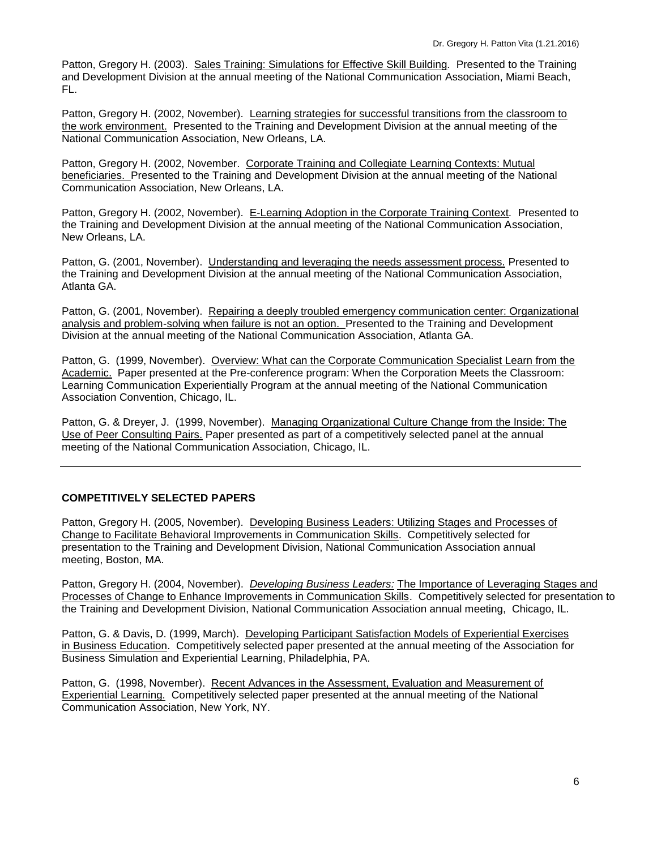Patton, Gregory H. (2003).Sales Training: Simulations for Effective Skill Building*.* Presented to the Training and Development Division at the annual meeting of the National Communication Association, Miami Beach, FL.

Patton, Gregory H. (2002, November). Learning strategies for successful transitions from the classroom to the work environment.Presented to the Training and Development Division at the annual meeting of the National Communication Association, New Orleans, LA.

Patton, Gregory H. (2002, November. Corporate Training and Collegiate Learning Contexts: Mutual beneficiaries.Presented to the Training and Development Division at the annual meeting of the National Communication Association, New Orleans, LA.

Patton, Gregory H. (2002, November). E-Learning Adoption in the Corporate Training Context*.* Presented to the Training and Development Division at the annual meeting of the National Communication Association, New Orleans, LA.

Patton, G. (2001, November). Understanding and leveraging the needs assessment process. Presented to the Training and Development Division at the annual meeting of the National Communication Association, Atlanta GA.

Patton, G. (2001, November). Repairing a deeply troubled emergency communication center: Organizational analysis and problem-solving when failure is not an option. Presented to the Training and Development Division at the annual meeting of the National Communication Association, Atlanta GA.

Patton, G. (1999, November). Overview: What can the Corporate Communication Specialist Learn from the Academic. Paper presented at the Pre-conference program: When the Corporation Meets the Classroom: Learning Communication Experientially Program at the annual meeting of the National Communication Association Convention, Chicago, IL.

Patton, G. & Dreyer, J. (1999, November). Managing Organizational Culture Change from the Inside: The Use of Peer Consulting Pairs. Paper presented as part of a competitively selected panel at the annual meeting of the National Communication Association, Chicago, IL.

# **COMPETITIVELY SELECTED PAPERS**

Patton, Gregory H. (2005, November). Developing Business Leaders: Utilizing Stages and Processes of Change to Facilitate Behavioral Improvements in Communication Skills. Competitively selected for presentation to the Training and Development Division, National Communication Association annual meeting, Boston, MA.

Patton, Gregory H. (2004, November). *Developing Business Leaders:* The Importance of Leveraging Stages and Processes of Change to Enhance Improvements in Communication Skills. Competitively selected for presentation to the Training and Development Division, National Communication Association annual meeting, Chicago, IL.

Patton, G. & Davis, D. (1999, March). Developing Participant Satisfaction Models of Experiential Exercises in Business Education. Competitively selected paper presented at the annual meeting of the Association for Business Simulation and Experiential Learning, Philadelphia, PA.

Patton, G. (1998, November). Recent Advances in the Assessment, Evaluation and Measurement of Experiential Learning. Competitively selected paper presented at the annual meeting of the National Communication Association, New York, NY.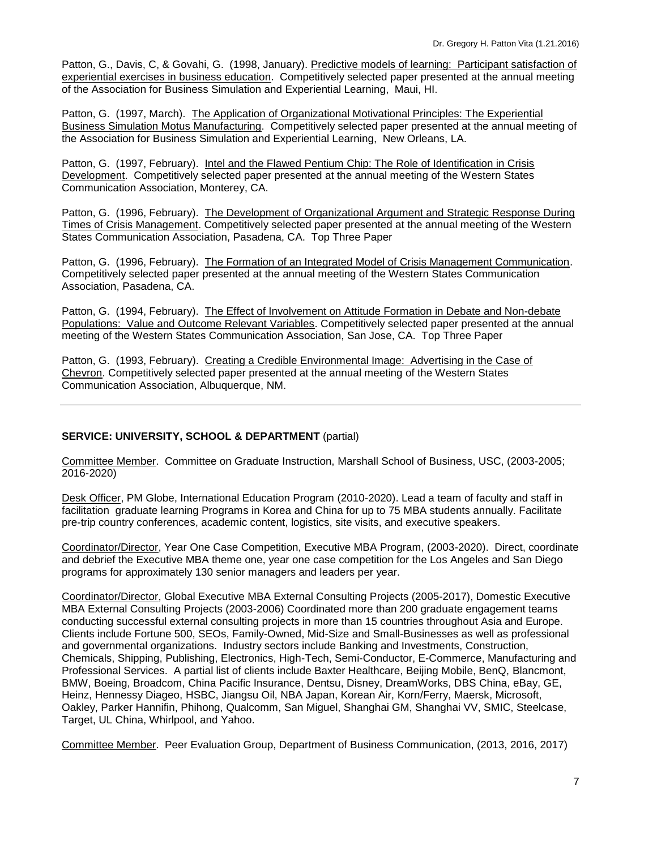Patton, G., Davis, C, & Govahi, G. (1998, January). Predictive models of learning: Participant satisfaction of experiential exercises in business education. Competitively selected paper presented at the annual meeting of the Association for Business Simulation and Experiential Learning, Maui, HI.

Patton, G. (1997, March). The Application of Organizational Motivational Principles: The Experiential Business Simulation Motus Manufacturing. Competitively selected paper presented at the annual meeting of the Association for Business Simulation and Experiential Learning, New Orleans, LA.

Patton, G. (1997, February). Intel and the Flawed Pentium Chip: The Role of Identification in Crisis Development. Competitively selected paper presented at the annual meeting of the Western States Communication Association, Monterey, CA.

Patton, G. (1996, February). The Development of Organizational Argument and Strategic Response During Times of Crisis Management. Competitively selected paper presented at the annual meeting of the Western States Communication Association, Pasadena, CA. Top Three Paper

Patton, G. (1996, February). The Formation of an Integrated Model of Crisis Management Communication. Competitively selected paper presented at the annual meeting of the Western States Communication Association, Pasadena, CA.

Patton, G. (1994, February). The Effect of Involvement on Attitude Formation in Debate and Non-debate Populations: Value and Outcome Relevant Variables. Competitively selected paper presented at the annual meeting of the Western States Communication Association, San Jose, CA. Top Three Paper

Patton, G. (1993, February). Creating a Credible Environmental Image: Advertising in the Case of Chevron. Competitively selected paper presented at the annual meeting of the Western States Communication Association, Albuquerque, NM.

### **SERVICE: UNIVERSITY, SCHOOL & DEPARTMENT** (partial)

Committee Member. Committee on Graduate Instruction, Marshall School of Business, USC, (2003-2005; 2016-2020)

Desk Officer, PM Globe, International Education Program (2010-2020). Lead a team of faculty and staff in facilitation graduate learning Programs in Korea and China for up to 75 MBA students annually. Facilitate pre-trip country conferences, academic content, logistics, site visits, and executive speakers.

Coordinator/Director, Year One Case Competition, Executive MBA Program, (2003-2020). Direct, coordinate and debrief the Executive MBA theme one, year one case competition for the Los Angeles and San Diego programs for approximately 130 senior managers and leaders per year.

Coordinator/Director, Global Executive MBA External Consulting Projects (2005-2017), Domestic Executive MBA External Consulting Projects (2003-2006) Coordinated more than 200 graduate engagement teams conducting successful external consulting projects in more than 15 countries throughout Asia and Europe. Clients include Fortune 500, SEOs, Family-Owned, Mid-Size and Small-Businesses as well as professional and governmental organizations. Industry sectors include Banking and Investments, Construction, Chemicals, Shipping, Publishing, Electronics, High-Tech, Semi-Conductor, E-Commerce, Manufacturing and Professional Services. A partial list of clients include Baxter Healthcare, Beijing Mobile, BenQ, Blancmont, BMW, Boeing, Broadcom, China Pacific Insurance, Dentsu, Disney, DreamWorks, DBS China, eBay, GE, Heinz, Hennessy Diageo, HSBC, Jiangsu Oil, NBA Japan, Korean Air, Korn/Ferry, Maersk, Microsoft, Oakley, Parker Hannifin, Phihong, Qualcomm, San Miguel, Shanghai GM, Shanghai VV, SMIC, Steelcase, Target, UL China, Whirlpool, and Yahoo.

Committee Member. Peer Evaluation Group, Department of Business Communication, (2013, 2016, 2017)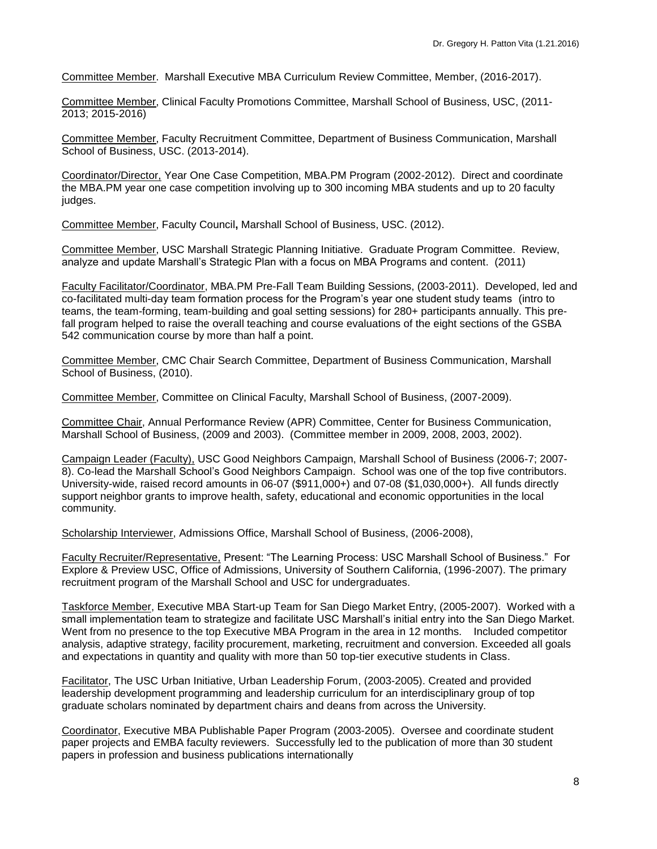Committee Member.Marshall Executive MBA Curriculum Review Committee, Member, (2016-2017).

Committee Member, Clinical Faculty Promotions Committee, Marshall School of Business, USC, (2011- 2013; 2015-2016)

Committee Member, Faculty Recruitment Committee, Department of Business Communication, Marshall School of Business, USC. (2013-2014).

Coordinator/Director, Year One Case Competition, MBA.PM Program (2002-2012). Direct and coordinate the MBA.PM year one case competition involving up to 300 incoming MBA students and up to 20 faculty judges.

Committee Member, Faculty Council**,** Marshall School of Business, USC. (2012).

Committee Member, USC Marshall Strategic Planning Initiative. Graduate Program Committee. Review, analyze and update Marshall's Strategic Plan with a focus on MBA Programs and content. (2011)

Faculty Facilitator/Coordinator, MBA.PM Pre-Fall Team Building Sessions, (2003-2011). Developed, led and co-facilitated multi-day team formation process for the Program's year one student study teams (intro to teams, the team-forming, team-building and goal setting sessions) for 280+ participants annually. This prefall program helped to raise the overall teaching and course evaluations of the eight sections of the GSBA 542 communication course by more than half a point.

Committee Member, CMC Chair Search Committee, Department of Business Communication, Marshall School of Business, (2010).

Committee Member, Committee on Clinical Faculty, Marshall School of Business, (2007-2009).

Committee Chair, Annual Performance Review (APR) Committee, Center for Business Communication, Marshall School of Business, (2009 and 2003). (Committee member in 2009, 2008, 2003, 2002).

Campaign Leader (Faculty), USC Good Neighbors Campaign, Marshall School of Business (2006-7; 2007- 8). Co-lead the Marshall School's Good Neighbors Campaign. School was one of the top five contributors. University-wide, raised record amounts in 06-07 (\$911,000+) and 07-08 (\$1,030,000+). All funds directly support neighbor grants to improve health, safety, educational and economic opportunities in the local community.

Scholarship Interviewer, Admissions Office, Marshall School of Business, (2006-2008),

Faculty Recruiter/Representative, Present: "The Learning Process: USC Marshall School of Business." For Explore & Preview USC, Office of Admissions, University of Southern California, (1996-2007). The primary recruitment program of the Marshall School and USC for undergraduates.

Taskforce Member, Executive MBA Start-up Team for San Diego Market Entry, (2005-2007). Worked with a small implementation team to strategize and facilitate USC Marshall's initial entry into the San Diego Market. Went from no presence to the top Executive MBA Program in the area in 12 months. Included competitor analysis, adaptive strategy, facility procurement, marketing, recruitment and conversion. Exceeded all goals and expectations in quantity and quality with more than 50 top-tier executive students in Class.

Facilitator, The USC Urban Initiative, Urban Leadership Forum, (2003-2005). Created and provided leadership development programming and leadership curriculum for an interdisciplinary group of top graduate scholars nominated by department chairs and deans from across the University.

Coordinator, Executive MBA Publishable Paper Program (2003-2005). Oversee and coordinate student paper projects and EMBA faculty reviewers. Successfully led to the publication of more than 30 student papers in profession and business publications internationally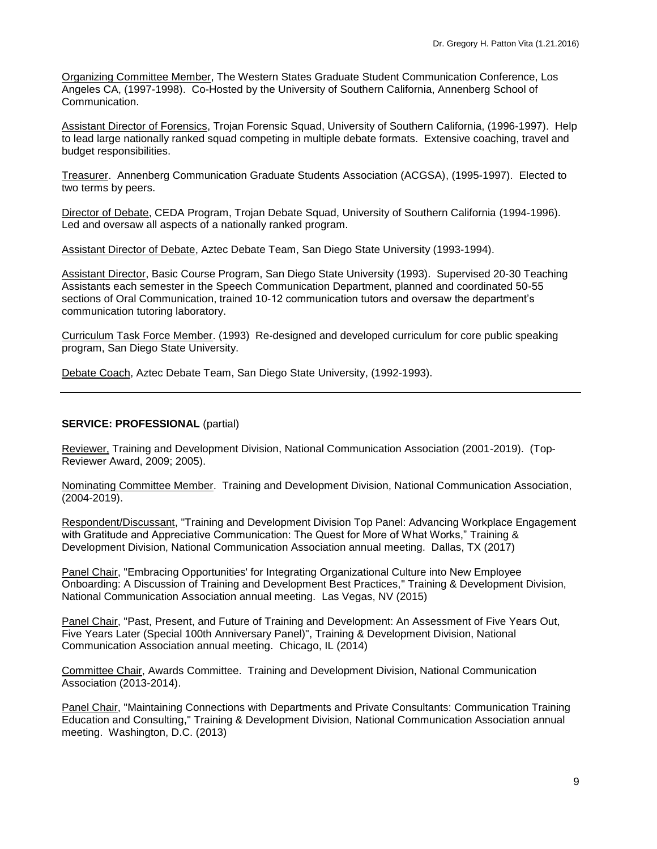Organizing Committee Member, The Western States Graduate Student Communication Conference, Los Angeles CA, (1997-1998). Co-Hosted by the University of Southern California, Annenberg School of Communication.

Assistant Director of Forensics, Trojan Forensic Squad, University of Southern California, (1996-1997). Help to lead large nationally ranked squad competing in multiple debate formats. Extensive coaching, travel and budget responsibilities.

Treasurer. Annenberg Communication Graduate Students Association (ACGSA), (1995-1997). Elected to two terms by peers.

Director of Debate, CEDA Program, Trojan Debate Squad, University of Southern California (1994-1996). Led and oversaw all aspects of a nationally ranked program.

Assistant Director of Debate, Aztec Debate Team, San Diego State University (1993-1994).

Assistant Director, Basic Course Program, San Diego State University (1993). Supervised 20-30 Teaching Assistants each semester in the Speech Communication Department, planned and coordinated 50-55 sections of Oral Communication, trained 10-12 communication tutors and oversaw the department's communication tutoring laboratory.

Curriculum Task Force Member. (1993) Re-designed and developed curriculum for core public speaking program, San Diego State University.

Debate Coach, Aztec Debate Team, San Diego State University, (1992-1993).

#### **SERVICE: PROFESSIONAL** (partial)

Reviewer, Training and Development Division, National Communication Association (2001-2019). (Top-Reviewer Award, 2009; 2005).

Nominating Committee Member. Training and Development Division, National Communication Association, (2004-2019).

Respondent/Discussant, "Training and Development Division Top Panel: Advancing Workplace Engagement with Gratitude and Appreciative Communication: The Quest for More of What Works," Training & Development Division, National Communication Association annual meeting. Dallas, TX (2017)

Panel Chair, "Embracing Opportunities' for Integrating Organizational Culture into New Employee Onboarding: A Discussion of Training and Development Best Practices," Training & Development Division, National Communication Association annual meeting. Las Vegas, NV (2015)

Panel Chair, "Past, Present, and Future of Training and Development: An Assessment of Five Years Out, Five Years Later (Special 100th Anniversary Panel)", Training & Development Division, National Communication Association annual meeting. Chicago, IL (2014)

Committee Chair, Awards Committee. Training and Development Division, National Communication Association (2013-2014).

Panel Chair, "Maintaining Connections with Departments and Private Consultants: Communication Training Education and Consulting," Training & Development Division, National Communication Association annual meeting. Washington, D.C. (2013)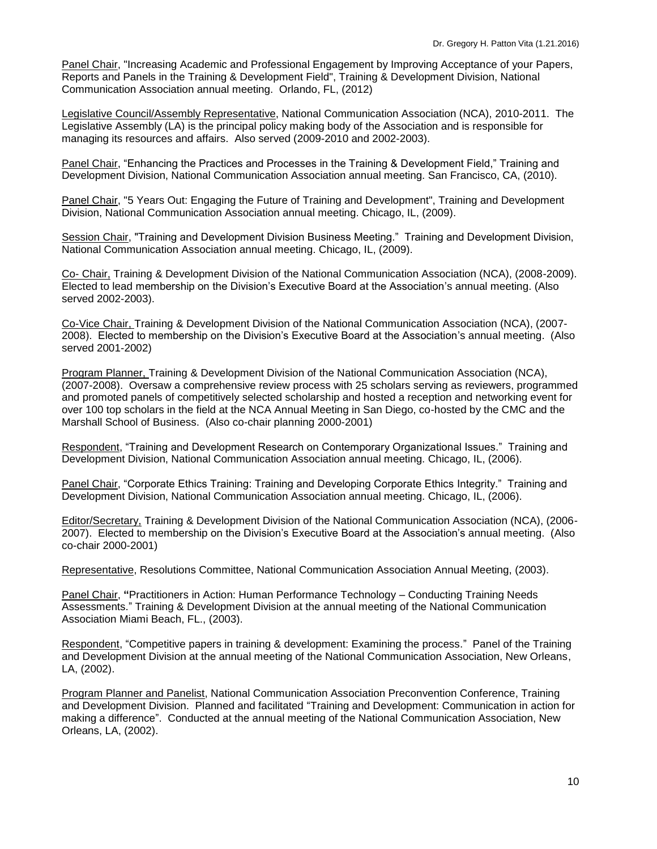Panel Chair, "Increasing Academic and Professional Engagement by Improving Acceptance of your Papers, Reports and Panels in the Training & Development Field", Training & Development Division, National Communication Association annual meeting. Orlando, FL, (2012)

Legislative Council/Assembly Representative, National Communication Association (NCA), 2010-2011. The Legislative Assembly (LA) is the principal policy making body of the Association and is responsible for managing its resources and affairs. Also served (2009-2010 and 2002-2003).

Panel Chair, "Enhancing the Practices and Processes in the Training & Development Field," Training and Development Division, National Communication Association annual meeting. San Francisco, CA, (2010).

Panel Chair, "5 Years Out: Engaging the Future of Training and Development", Training and Development Division, National Communication Association annual meeting. Chicago, IL, (2009).

Session Chair, "Training and Development Division Business Meeting." Training and Development Division, National Communication Association annual meeting. Chicago, IL, (2009).

Co- Chair, Training & Development Division of the National Communication Association (NCA), (2008-2009). Elected to lead membership on the Division's Executive Board at the Association's annual meeting. (Also served 2002-2003).

Co-Vice Chair, Training & Development Division of the National Communication Association (NCA), (2007- 2008). Elected to membership on the Division's Executive Board at the Association's annual meeting. (Also served 2001-2002)

Program Planner, Training & Development Division of the National Communication Association (NCA), (2007-2008). Oversaw a comprehensive review process with 25 scholars serving as reviewers, programmed and promoted panels of competitively selected scholarship and hosted a reception and networking event for over 100 top scholars in the field at the NCA Annual Meeting in San Diego, co-hosted by the CMC and the Marshall School of Business. (Also co-chair planning 2000-2001)

Respondent, "Training and Development Research on Contemporary Organizational Issues." Training and Development Division, National Communication Association annual meeting. Chicago, IL, (2006).

Panel Chair, "Corporate Ethics Training: Training and Developing Corporate Ethics Integrity." Training and Development Division, National Communication Association annual meeting. Chicago, IL, (2006).

Editor/Secretary, Training & Development Division of the National Communication Association (NCA), (2006- 2007). Elected to membership on the Division's Executive Board at the Association's annual meeting. (Also co-chair 2000-2001)

Representative, Resolutions Committee, National Communication Association Annual Meeting, (2003).

Panel Chair, **"**Practitioners in Action: Human Performance Technology – Conducting Training Needs Assessments." Training & Development Division at the annual meeting of the National Communication Association Miami Beach, FL., (2003).

Respondent, "Competitive papers in training & development: Examining the process." Panel of the Training and Development Division at the annual meeting of the National Communication Association, New Orleans, LA, (2002).

Program Planner and Panelist, National Communication Association Preconvention Conference, Training and Development Division. Planned and facilitated "Training and Development: Communication in action for making a difference". Conducted at the annual meeting of the National Communication Association, New Orleans, LA, (2002).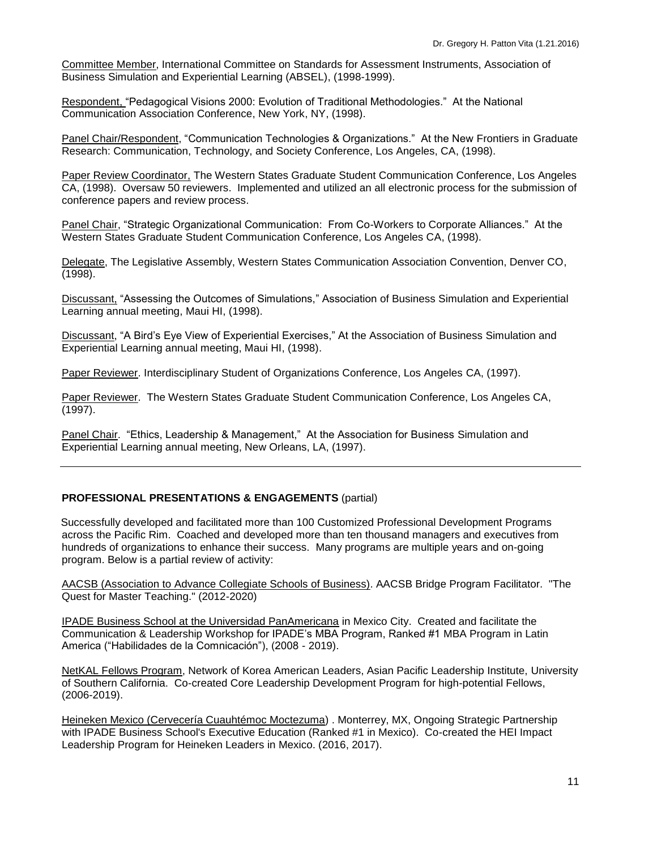Committee Member, International Committee on Standards for Assessment Instruments, Association of Business Simulation and Experiential Learning (ABSEL), (1998-1999).

Respondent, "Pedagogical Visions 2000: Evolution of Traditional Methodologies." At the National Communication Association Conference, New York, NY, (1998).

Panel Chair/Respondent, "Communication Technologies & Organizations." At the New Frontiers in Graduate Research: Communication, Technology, and Society Conference, Los Angeles, CA, (1998).

Paper Review Coordinator, The Western States Graduate Student Communication Conference, Los Angeles CA, (1998). Oversaw 50 reviewers. Implemented and utilized an all electronic process for the submission of conference papers and review process.

Panel Chair, "Strategic Organizational Communication: From Co-Workers to Corporate Alliances." At the Western States Graduate Student Communication Conference, Los Angeles CA, (1998).

Delegate, The Legislative Assembly, Western States Communication Association Convention, Denver CO, (1998).

Discussant, "Assessing the Outcomes of Simulations," Association of Business Simulation and Experiential Learning annual meeting, Maui HI, (1998).

Discussant, "A Bird's Eye View of Experiential Exercises," At the Association of Business Simulation and Experiential Learning annual meeting, Maui HI, (1998).

Paper Reviewer. Interdisciplinary Student of Organizations Conference, Los Angeles CA, (1997).

Paper Reviewer. The Western States Graduate Student Communication Conference, Los Angeles CA, (1997).

Panel Chair. "Ethics, Leadership & Management," At the Association for Business Simulation and Experiential Learning annual meeting, New Orleans, LA, (1997).

### **PROFESSIONAL PRESENTATIONS & ENGAGEMENTS** (partial)

Successfully developed and facilitated more than 100 Customized Professional Development Programs across the Pacific Rim. Coached and developed more than ten thousand managers and executives from hundreds of organizations to enhance their success. Many programs are multiple years and on-going program. Below is a partial review of activity:

AACSB (Association to Advance Collegiate Schools of Business). AACSB Bridge Program Facilitator. "The Quest for Master Teaching." (2012-2020)

IPADE Business School at the Universidad PanAmericana in Mexico City. Created and facilitate the Communication & Leadership Workshop for IPADE's MBA Program, Ranked #1 MBA Program in Latin America ("Habilidades de la Comnicación"), (2008 - 2019).

NetKAL Fellows Program, Network of Korea American Leaders, Asian Pacific Leadership Institute, University of Southern California. Co-created Core Leadership Development Program for high-potential Fellows, (2006-2019).

Heineken Mexico (Cervecería Cuauhtémoc Moctezuma) . Monterrey, MX, Ongoing Strategic Partnership with IPADE Business School's Executive Education (Ranked #1 in Mexico). Co-created the HEI Impact Leadership Program for Heineken Leaders in Mexico. (2016, 2017).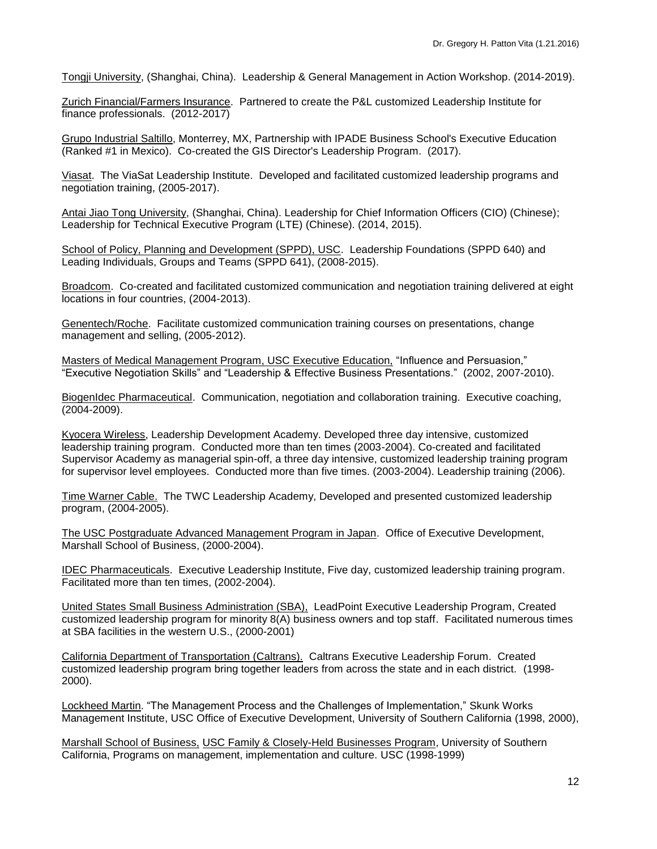Tongji University, (Shanghai, China). Leadership & General Management in Action Workshop. (2014-2019).

Zurich Financial/Farmers Insurance. Partnered to create the P&L customized Leadership Institute for finance professionals. (2012-2017)

Grupo Industrial Saltillo, Monterrey, MX, Partnership with IPADE Business School's Executive Education (Ranked #1 in Mexico). Co-created the GIS Director's Leadership Program. (2017).

Viasat. The ViaSat Leadership Institute. Developed and facilitated customized leadership programs and negotiation training, (2005-2017).

Antai Jiao Tong University, (Shanghai, China). Leadership for Chief Information Officers (CIO) (Chinese); Leadership for Technical Executive Program (LTE) (Chinese). (2014, 2015).

School of Policy, Planning and Development (SPPD), USC. Leadership Foundations (SPPD 640) and Leading Individuals, Groups and Teams (SPPD 641), (2008-2015).

Broadcom. Co-created and facilitated customized communication and negotiation training delivered at eight locations in four countries, (2004-2013).

Genentech/Roche. Facilitate customized communication training courses on presentations, change management and selling, (2005-2012).

Masters of Medical Management Program, USC Executive Education, "Influence and Persuasion," "Executive Negotiation Skills" and "Leadership & Effective Business Presentations." (2002, 2007-2010).

BiogenIdec Pharmaceutical. Communication, negotiation and collaboration training. Executive coaching, (2004-2009).

Kyocera Wireless, Leadership Development Academy. Developed three day intensive, customized leadership training program. Conducted more than ten times (2003-2004). Co-created and facilitated Supervisor Academy as managerial spin-off, a three day intensive, customized leadership training program for supervisor level employees. Conducted more than five times. (2003-2004). Leadership training (2006).

Time Warner Cable. The TWC Leadership Academy, Developed and presented customized leadership program, (2004-2005).

The USC Postgraduate Advanced Management Program in Japan. Office of Executive Development, Marshall School of Business, (2000-2004).

IDEC Pharmaceuticals. Executive Leadership Institute, Five day, customized leadership training program. Facilitated more than ten times, (2002-2004).

United States Small Business Administration (SBA), LeadPoint Executive Leadership Program, Created customized leadership program for minority 8(A) business owners and top staff. Facilitated numerous times at SBA facilities in the western U.S., (2000-2001)

California Department of Transportation (Caltrans). Caltrans Executive Leadership Forum. Created customized leadership program bring together leaders from across the state and in each district. (1998- 2000).

Lockheed Martin. "The Management Process and the Challenges of Implementation," Skunk Works Management Institute, USC Office of Executive Development, University of Southern California (1998, 2000),

Marshall School of Business, USC Family & Closely-Held Businesses Program, University of Southern California, Programs on management, implementation and culture. USC (1998-1999)